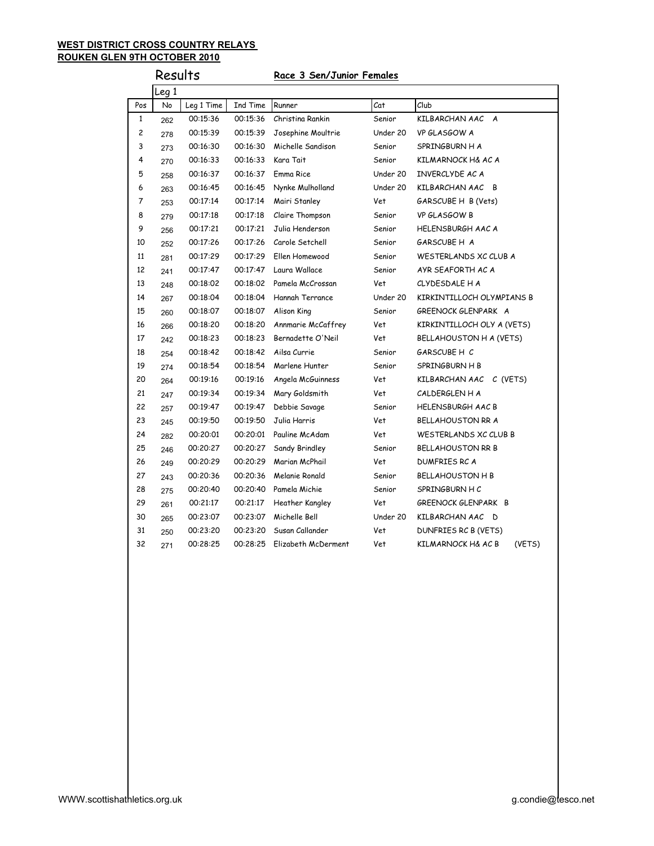#### **WEST DISTRICT CROSS COUNTRY RELAYS ROUKEN GLEN 9TH OCTOBER 2010**

# Results **Race 3 Sen/Junior Females** Leg 1 Pos No Leg 1 Time Ind Time Runner Cat Club 1 262 00:15:36 00:15:36 Christina Rankin Senior KILBARCHAN AAC A 2 278 00:15:39 00:15:39 Josephine Moultrie Under 20 VP GLASGOW A 3 273 00:16:30 00:16:30 Michelle Sandison Senior SPRINGBURN H A 4 270 00:16:33 00:16:33 Kara Tait Senior KILMARNOCK H& AC A 5 258 00:16:37 00:16:37 Emma Rice Under 20 INVERCLYDE AC A 6 263 00:16:45 00:16:45 Nynke Mulholland Under 20 KILBARCHAN AAC B 7 253 00:17:14 00:17:14 Mairi Stanley Vet GARSCUBE H B (Vets) 8 279 00:17:18 00:17:18 Claire Thompson Senior VP GLASGOW B 9 256 00:17:21 00:17:21 Julia Henderson Senior HELENSBURGH AAC A 10 252 00:17:26 00:17:26 Carole Setchell Senior GARSCUBE H A 11 281 00:17:29 00:17:29 Ellen Homewood Senior WESTERLANDS XC CLUB A 12 241 00:17:47 00:17:47 Laura Wallace Senior AYR SEAFORTH AC A 13 248 00:18:02 00:18:02 Pamela McCrossan Vet CLYDESDALE H A 14 267 00:18:04 00:18:04 Hannah Terrance Under 20 KIRKINTILLOCH OLYMPIANS B 15 260 00:18:07 00:18:07 Alison King Senior GREENOCK GLENPARK A 16 266 00:18:20 00:18:20 Annmarie McCaffrey Vet KIRKINTILLOCH OLY A (VETS) 17 242 00:18:23 00:18:23 Bernadette O'Neil Vet BELLAHOUSTON H A (VETS) 18 <sub>254</sub> 00:18:42 00:18:42 Ailsa Currie Senior GARSCUBE H C 19 274 00:18:54 00:18:54 Marlene Hunter Senior SPRINGBURN H B 20 264 00:19:16 00:19:16 Angela McGuinness Vet KILBARCHAN AAC C (VETS) 21 247 00:19:34 00:19:34 Mary Goldsmith Vet CALDERGLEN H A 22 257 00:19:47 00:19:47 Debbie Savage Senior HELENSBURGH AAC B 23 245 00:19:50 00:19:50 Julia Harris Vet BELLAHOUSTON RR A 24 <sub>282</sub> 00:20:01 00:20:01 Pauline McAdam Vet WESTERLANDS XC CLUB B 25 246 00:20:27 00:20:27 Sandy Brindley Senior BELLAHOUSTON RR B 26 249 00:20:29 00:20:29 Marian McPhail Vet DUMFRIES RC A 27 243 00:20:36 00:20:36 Melanie Ronald Senior BELLAHOUSTON H B 28 275 00:20:40 00:20:40 Pamela Michie Senior SPRINGBURN H C 29 261 00:21:17 00:21:17 Heather Kangley Vet GREENOCK GLENPARK B 30 265 00:23:07 00:23:07 Michelle Bell Under 20 KILBARCHAN AAC D 31 250 00:23:20 00:23:20 Susan Callander Vet DUNFRIES RC B (VETS) 32 271 00:28:25 00:28:25 Elizabeth McDerment Vet KILMARNOCK H& AC B (VETS)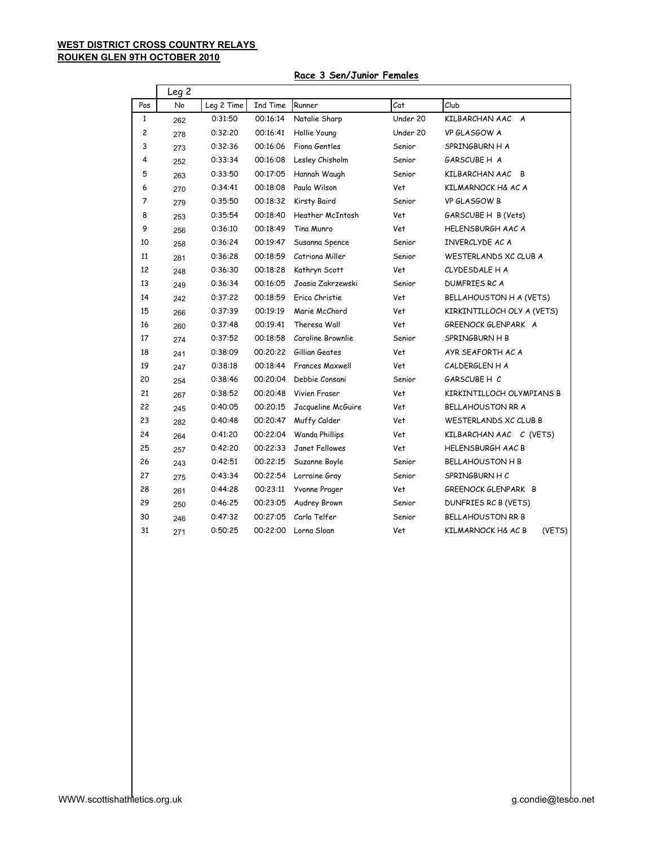### **WEST DISTRICT CROSS COUNTRY RELAYS ROUKEN GLEN 9TH OCTOBER 2010**

#### **Race 3 Sen/Junior Females**

|              | Leg <sub>2</sub> |            |          |                        |          |                              |
|--------------|------------------|------------|----------|------------------------|----------|------------------------------|
| Pos          | No               | Leg 2 Time | Ind Time | Runner                 | Cat      | Club                         |
| $\mathbf{1}$ | 262              | 0:31:50    | 00:16:14 | Natalie Sharp          | Under 20 | KILBARCHAN AAC A             |
| 2            | 278              | 0:32:20    | 00:16:41 | Hollie Young           | Under 20 | VP GLASGOW A                 |
| 3            | 273              | 0:32:36    | 00:16:06 | Fiona Gentles          | Senior   | SPRINGBURN H A               |
| 4            | 252              | 0:33:34    | 00:16:08 | Lesley Chisholm        | Senior   | GARSCUBE H A                 |
| 5            | 263              | 0:33:50    | 00:17:05 | Hannah Waugh           | Senior   | KILBARCHAN AAC B             |
| 6            | 270              | 0:34:41    | 00:18:08 | Paula Wilson           | Vet      | KILMARNOCK H& AC A           |
| 7            | 279              | 0:35:50    | 00:18:32 | Kirsty Baird           | Senior   | VP GLASGOW B                 |
| 8            | 253              | 0:35:54    | 00:18:40 | Heather McIntosh       | Vet      | GARSCUBE H B (Vets)          |
| 9            | 256              | 0:36:10    | 00:18:49 | Tina Munro             | Vet      | <b>HELENSBURGH AAC A</b>     |
| 10           | 258              | 0:36:24    | 00:19:47 | Susanna Spence         | Senior   | INVERCLYDE AC A              |
| 11           | 281              | 0:36:28    | 00:18:59 | Catriona Miller        | Senior   | WESTERLANDS XC CLUB A        |
| 12           | 248              | 0:36:30    | 00:18:28 | Kathryn Scott          | Vet      | CLYDESDALE H A               |
| 13           | 249              | 0:36:34    | 00:16:05 | Joasia Zakrzewski      | Senior   | <b>DUMFRIES RC A</b>         |
| 14           | 242              | 0:37:22    | 00:18:59 | Erica Christie         | Vet      | BELLAHOUSTON H A (VETS)      |
| 15           | 266              | 0:37:39    | 00:19:19 | Marie McChord          | Vet      | KIRKINTILLOCH OLY A (VETS)   |
| 16           | 260              | 0:37:48    | 00:19:41 | Theresa Wall           | Vet      | GREENOCK GLENPARK A          |
| 17           | 274              | 0:37:52    | 00:18:58 | Caroline Brownlie      | Senior   | SPRINGBURN H B               |
| 18           | 241              | 0:38:09    | 00:20:22 | Gillian Geates         | Vet      | AYR SEAFORTH AC A            |
| 19           | 247              | 0:38:18    | 00:18:44 | <b>Frances Maxwell</b> | Vet      | CALDERGLEN H A               |
| 20           | 254              | 0:38:46    | 00:20:04 | Debbie Consani         | Senior   | GARSCUBE H C                 |
| 21           | 267              | 0:38:52    | 00:20:48 | Vivien Fraser          | Vet      | KIRKINTILLOCH OLYMPIANS B    |
| 22           | 245              | 0:40:05    | 00:20:15 | Jacqueline McGuire     | Vet      | BELLAHOUSTON RR A            |
| 23           | 282              | 0:40:48    | 00:20:47 | Muffy Calder           | Vet      | WESTERLANDS XC CLUB B        |
| 24           | 264              | 0:41:20    | 00:22:04 | Wanda Phillips         | Vet      | KILBARCHAN AAC C (VETS)      |
| 25           | 257              | 0:42:20    | 00:22:33 | Janet Fellowes         | Vet      | <b>HELENSBURGH AAC B</b>     |
| 26           | 243              | 0:42:51    | 00:22:15 | Suzanne Boyle          | Senior   | <b>BELLAHOUSTON H B</b>      |
| 27           | 275              | 0:43:34    | 00:22:54 | Lorraine Gray          | Senior   | SPRINGBURN HC                |
| 28           | 261              | 0:44:28    | 00:23:11 | Yvonne Prager          | Vet      | GREENOCK GLENPARK B          |
| 29           | 250              | 0:46:25    | 00:23:05 | Audrey Brown           | Senior   | DUNFRIES RC B (VETS)         |
| 30           | 246              | 0:47:32    | 00:27:05 | Carla Telfer           | Senior   | <b>BELLAHOUSTON RR B</b>     |
| 31           | 271              | 0:50:25    | 00:22:00 | Lorna Sloan            | Vet      | (VETS)<br>KILMARNOCK H& AC B |